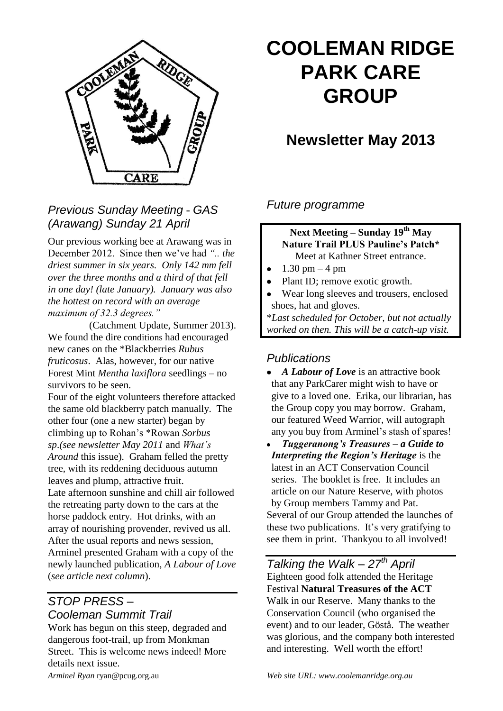

# **COOLEMAN RIDGE PARK CARE GROUP**

## **Newsletter May 2013**

*Previous Sunday Meeting - GAS (Arawang) Sunday 21 April*

Our previous working bee at Arawang was in December 2012. Since then we've had *".. the driest summer in six years. Only 142 mm fell over the three months and a third of that fell in one day! (late January). January was also the hottest on record with an average maximum of 32.3 degrees."* 

(Catchment Update, Summer 2013). We found the dire conditions had encouraged new canes on the \*Blackberries *Rubus fruticosus*. Alas, however, for our native Forest Mint *Mentha laxiflora* seedlings – no survivors to be seen.

Four of the eight volunteers therefore attacked the same old blackberry patch manually. The other four (one a new starter) began by climbing up to Rohan's \*Rowan *Sorbus sp*.*(see newsletter May 2011* and *What's Around* this issue). Graham felled the pretty tree, with its reddening deciduous autumn leaves and plump, attractive fruit. Late afternoon sunshine and chill air followed the retreating party down to the cars at the horse paddock entry. Hot drinks, with an array of nourishing provender, revived us all. After the usual reports and news session, Arminel presented Graham with a copy of the newly launched publication, *A Labour of Love*  (*see article next column*).

#### *STOP PRESS – Cooleman Summit Trail*

Work has begun on this steep, degraded and dangerous foot-trail, up from Monkman Street. This is welcome news indeed! More details next issue.

*Future programme*

#### **Next Meeting – Sunday 19th May Nature Trail PLUS Pauline's Patch\*** Meet at Kathner Street entrance.

- 1.30 pm 4 pm
- $\bullet$ Plant ID; remove exotic growth.
- Wear long sleeves and trousers, enclosed shoes, hat and gloves.

\**Last scheduled for October, but not actually worked on then. This will be a catch-up visit.*

#### *Publications*

- *A Labour of Love* is an attractive book that any ParkCarer might wish to have or give to a loved one. Erika, our librarian, has the Group copy you may borrow. Graham, our featured Weed Warrior, will autograph any you buy from Arminel's stash of spares!
- *Tuggeranong's Treasures – a Guide to*   $\bullet$ *Interpreting the Region's Heritage* is the latest in an ACT Conservation Council series. The booklet is free. It includes an article on our Nature Reserve, with photos by Group members Tammy and Pat. Several of our Group attended the launches of these two publications. It's very gratifying to see them in print. Thankyou to all involved!

*Talking the Walk – 27th April* Eighteen good folk attended the Heritage Festival **Natural Treasures of the ACT** Walk in our Reserve. Many thanks to the Conservation Council (who organised the event) and to our leader, Göstå. The weather was glorious, and the company both interested and interesting. Well worth the effort!